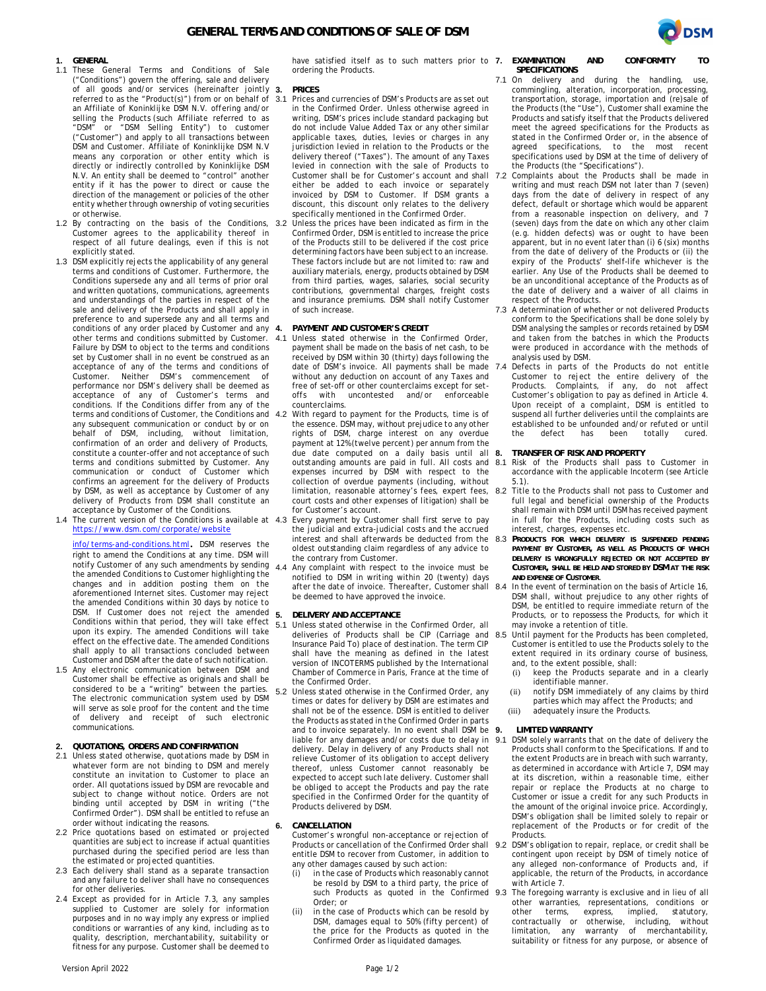

## **1. GENERAL**

- 1.1 These General Terms and Conditions of Sale ("Conditions") govern the offering, sale and delivery of all goods and/or services (hereinafter jointly referred to as the "Product(s)") from or on behalf of an Affiliate of Koninklijke DSM N.V. offering and/or selling the Products (such Affiliate referred to as "DSM" or "DSM Selling Entity") to customer ("Customer") and apply to all transactions between DSM and Customer. Affiliate of Koninklijke DSM N.V means any corporation or other entity which is directly or indirectly controlled by Koninklijke DSM N.V. An entity shall be deemed to "control" another entity if it has the power to direct or cause the direction of the management or policies of the other entity whether through ownership of voting securities or otherwise.
- 1.2 By contracting on the basis of the Conditions, 3.2 Customer agrees to the applicability thereof in respect of all future dealings, even if this is not explicitly stated.
- 1.3 DSM explicitly rejects the applicability of any general terms and conditions of Customer. Furthermore, the Conditions supersede any and all terms of prior oral and written quotations, communications, agreements and understandings of the parties in respect of the sale and delivery of the Products and shall apply in preference to and supersede any and all terms and conditions of any order placed by Customer and any 4. other terms and conditions submitted by Customer. 4.1 Failure by DSM to object to the terms and conditions set by Customer shall in no event be construed as an acceptance of any of the terms and conditions of Customer. Neither DSM's commencement of performance nor DSM's delivery shall be deemed as acceptance of any of Customer's terms and conditions. If the Conditions differ from any of the terms and conditions of Customer, the Conditions and 4.2 any subsequent communication or conduct by or on behalf of DSM, including, without limitation, confirmation of an order and delivery of Products, constitute a counter-offer and not acceptance of such terms and conditions submitted by Customer. Any communication or conduct of Customer which confirms an agreement for the delivery of Products by DSM, as well as acceptance by Customer of any delivery of Products from DSM shall constitute an acceptance by Customer of the Conditions.
- 1.4 The current version of the Conditions is available at 4.3 https://www.dsm.com/corporate/website

info/terms-and-conditions.html. DSM reserves the right to amend the Conditions at any time. DSM will notify Customer of any such amendments by sending  $4.4$ the amended Conditions to Customer highlighting the changes and in addition posting them on the aforementioned Internet sites. Customer may reject the amended Conditions within 30 days by notice to DSM. If Customer does not reject the amended Conditions within that period, they will take effect upon its expiry. The amended Conditions will take effect on the effective date. The amended Conditions shall apply to all transactions concluded between Customer and DSM after the date of such notification.

- 1.5 Any electronic communication between DSM and Customer shall be effective as originals and shall be considered to be a "writing" between the parties. The electronic communication system used by DSM will serve as sole proof for the content and the time of delivery and receipt of such electronic communications.
- **2. QUOTATIONS, ORDERS AND CONFIRMATION**
- 2.1 Unless stated otherwise, quotations made by DSM in whatever form are not binding to DSM and merely constitute an invitation to Customer to place an order. All quotations issued by DSM are revocable and subject to change without notice. Orders are not binding until accepted by DSM in writing ("the Confirmed Order"). DSM shall be entitled to refuse an order without indicating the reasons.
- 2.2 Price quotations based on estimated or projected quantities are subject to increase if actual quantities purchased during the specified period are less than the estimated or projected quantities.
- 2.3 Each delivery shall stand as a separate transaction and any failure to deliver shall have no consequences for other deliveries.
- 2.4 Except as provided for in Article 7.3, any samples supplied to Customer are solely for information purposes and in no way imply any express or implied conditions or warranties of any kind, including as to quality, description, merchantability, suitability or fitness for any purpose. Customer shall be deemed to

have satisfied itself as to such matters prior to **7. EXAMINATION AND CONFORMITY TO** ordering the Products.

## **3. PRICES**

- Prices and currencies of DSM's Products are as set out in the Confirmed Order. Unless otherwise agreed in writing, DSM's prices include standard packaging but do not include Value Added Tax or any other similar applicable taxes, duties, levies or charges in any jurisdiction levied in relation to the Products or the delivery thereof ("Taxes"). The amount of any Taxes levied in connection with the sale of Products to Customer shall be for Customer's account and shall 7.2 either be added to each invoice or separately invoiced by DSM to Customer. If DSM grants a discount, this discount only relates to the delivery specifically mentioned in the Confirmed Order.
- Unless the prices have been indicated as firm in the Confirmed Order, DSM is entitled to increase the price of the Products still to be delivered if the cost price determining factors have been subject to an increase. These factors include but are not limited to: raw and auxiliary materials, energy, products obtained by DSM from third parties, wages, salaries, social security contributions, governmental charges, freight costs and insurance premiums. DSM shall notify Customer of such increase.

**4. PAYMENT AND CUSTOMER'S CREDIT**

- Unless stated otherwise in the Confirmed Order, payment shall be made on the basis of net cash, to be received by DSM within 30 (thirty) days following the date of DSM's invoice. All payments shall be made 7.4 without any deduction on account of any Taxes and free of set-off or other counterclaims except for set-<br>offs with uncontested and/or enforceable offs with uncontested and/or counterclaims.
- With regard to payment for the Products, time is of the essence. DSM may, without prejudice to any other rights of DSM, charge interest on any overdue payment at 12% (twelve percent) per annum from the due date computed on a daily basis until all  $8$ . expenses incurred by DSM with respect to the collection of overdue payments (including, without court costs and other expenses of litigation) shall be for Customer's account.
- Every payment by Customer shall first serve to pay the judicial and extra-judicial costs and the accrued interest and shall afterwards be deducted from the 8.3 oldest outstanding claim regardless of any advice to the contrary from Customer.
- Any complaint with respect to the invoice must be notified to DSM in writing within 20 (twenty) days after the date of invoice. Thereafter, Customer shall 8.4 be deemed to have approved the invoice.

### **5. DELIVERY AND ACCEPTANCE**

- Unless stated otherwise in the Confirmed Order, all deliveries of Products shall be CIP (Carriage and 8.5 Insurance Paid To) place of destination. The term CIP shall have the meaning as defined in the latest version of INCOTERMS published by the International Chamber of Commerce in Paris, France at the time of the Confirmed Order.
- 5.2 Unless stated otherwise in the Confirmed Order, any times or dates for delivery by DSM are estimates and shall not be of the essence. DSM is entitled to deliver the Products as stated in the Confirmed Order in parts and to invoice separately. In no event shall DSM be 9. liable for any damages and/or costs due to delay in delivery. Delay in delivery of any Products shall not relieve Customer of its obligation to accept delivery thereof, unless Customer cannot reasonably be expected to accept such late delivery. Customer shall be obliged to accept the Products and pay the rate specified in the Confirmed Order for the quantity of Products delivered by DSM.

### **6. CANCELLATION**

Customer's wrongful non-acceptance or rejection of Products or cancellation of the Confirmed Order shall 9.2 entitle DSM to recover from Customer, in addition to any other damages caused by such action:

- (i) in the case of Products which reasonably cannot be resold by DSM to a third party, the price of such Products as quoted in the Confirmed 9.3 Order; or
- (ii) in the case of Products which can be resold by DSM, damages equal to 50% (fifty percent) of the price for the Products as quoted in the Confirmed Order as liquidated damages.

 **SPECIFICATIONS**

- 7.1 On delivery and during the handling, use, commingling, alteration, incorporation, processing, transportation, storage, importation and (re)sale of the Products (the "Use"), Customer shall examine the Products and satisfy itself that the Products delivered meet the agreed specifications for the Products as stated in the Confirmed Order or, in the absence of agreed specifications, to the most recent specifications used by DSM at the time of delivery of the Products (the "Specifications").
- Complaints about the Products shall be made in writing and must reach DSM not later than 7 (seven) days from the date of delivery in respect of any defect, default or shortage which would be apparent from a reasonable inspection on delivery, and 7 (seven) days from the date on which any other claim (e.g. hidden defects) was or ought to have been apparent, but in no event later than (i) 6 (six) months from the date of delivery of the Products or (ii) the expiry of the Products' shelf-life whichever is the earlier. Any Use of the Products shall be deemed to be an unconditional acceptance of the Products as of the date of delivery and a waiver of all claims in respect of the Products.
- 7.3 A determination of whether or not delivered Products conform to the Specifications shall be done solely by DSM analysing the samples or records retained by DSM and taken from the batches in which the Products were produced in accordance with the methods of analysis used by DSM.
- Defects in parts of the Products do not entitle Customer to reject the entire delivery of the Products. Complaints, if any, do not affect Customer's obligation to pay as defined in Article 4. Upon receipt of a complaint, DSM is entitled to suspend all further deliveries until the complaints are established to be unfounded and/or refuted or until the defect has been totally cured.

**8. TRANSFER OF RISK AND PROPERTY**

- outstanding amounts are paid in full. All costs and 8.1 Risk of the Products shall pass to Customer in accordance with the applicable Incoterm (see Article 5.1).
- limitation, reasonable attorney's fees, expert fees, 8.2 Title to the Products shall not pass to Customer and full legal and beneficial ownership of the Products shall remain with DSM until DSM has received payment in full for the Products, including costs such as interest, charges, expenses etc.
	- 8.3 **PRODUCTS FOR WHICH DELIVERY IS SUSPENDED PENDING PAYMENT BY CUSTOMER, AS WELL AS PRODUCTS OF WHICH DELIVERY IS WRONGFULLY REJECTED OR NOT ACCEPTED BY CUSTOMER, SHALL BE HELD AND STORED BY DSM AT THE RISK AND EXPENSE OF CUSTOMER**.
	- In the event of termination on the basis of Article 16, DSM shall, without prejudice to any other rights of DSM, be entitled to require immediate return of the Products, or to repossess the Products, for which it may invoke a retention of title.
	- Until payment for the Products has been completed, Customer is entitled to use the Products solely to the extent required in its ordinary course of business, and, to the extent possible, shall:
		- (i) keep the Products separate and in a clearly identifiable manner.
	- (ii) notify DSM immediately of any claims by third parties which may affect the Products; and
	- (iii) adequately insure the Products.

## **9. LIMITED WARRANTY**

- DSM solely warrants that on the date of delivery the Products shall conform to the Specifications. If and to the extent Products are in breach with such warranty, as determined in accordance with Article 7, DSM may at its discretion, within a reasonable time, either repair or replace the Products at no charge to Customer or issue a credit for any such Products in the amount of the original invoice price. Accordingly, DSM's obligation shall be limited solely to repair or replacement of the Products or for credit of the Products.
- DSM's obligation to repair, replace, or credit shall be contingent upon receipt by DSM of timely notice of any alleged non-conformance of Products and, if applicable, the return of the Products, in accordance with Article 7.
- 9.3 The foregoing warranty is exclusive and in lieu of all other warranties, representations, conditions or other terms, express, implied, statutory, contractually or otherwise, including, without limitation, any warranty of merchantability, suitability or fitness for any purpose, or absence of